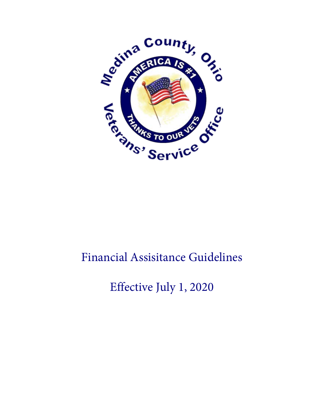

## Financial Assisitance Guidelines

Effective July 1, 2020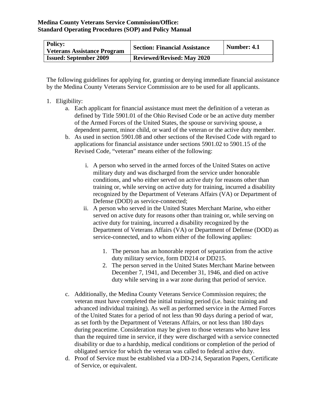| <b>Policy:</b><br>Veterans Assistance Program | <b>Section: Financial Assistance</b> | Number: 4.1 |
|-----------------------------------------------|--------------------------------------|-------------|
| <b>Issued: September 2009</b>                 | <b>Reviewed/Revised: May 2020</b>    |             |

The following guidelines for applying for, granting or denying immediate financial assistance by the Medina County Veterans Service Commission are to be used for all applicants.

## 1. Eligibility:

- a. Each applicant for financial assistance must meet the definition of a veteran as defined by Title 5901.01 of the Ohio Revised Code or be an active duty member of the Armed Forces of the United States, the spouse or surviving spouse, a dependent parent, minor child, or ward of the veteran or the active duty member.
- b. As used in section 5901.08 and other sections of the Revised Code with regard to applications for financial assistance under sections 5901.02 to 5901.15 of the Revised Code, "veteran" means either of the following:
	- i. A person who served in the armed forces of the United States on active military duty and was discharged from the service under honorable conditions, and who either served on active duty for reasons other than training or, while serving on active duty for training, incurred a disability recognized by the Department of Veterans Affairs (VA) or Department of Defense (DOD) as service-connected;
	- ii. A person who served in the United States Merchant Marine, who either served on active duty for reasons other than training or, while serving on active duty for training, incurred a disability recognized by the Department of Veterans Affairs (VA) or Department of Defense (DOD) as service-connected, and to whom either of the following applies:
		- 1. The person has an honorable report of separation from the active duty military service, form DD214 or DD215.
		- 2. The person served in the United States Merchant Marine between December 7, 1941, and December 31, 1946, and died on active duty while serving in a war zone during that period of service.
- c. Additionally, the Medina County Veterans Service Commission requires; the veteran must have completed the initial training period (i.e. basic training and advanced individual training). As well as performed service in the Armed Forces of the United States for a period of not less than 90 days during a period of war, as set forth by the Department of Veterans Affairs, or not less than 180 days during peacetime. Consideration may be given to those veterans who have less than the required time in service, if they were discharged with a service connected disability or due to a hardship, medical conditions or completion of the period of obligated service for which the veteran was called to federal active duty.
- d. Proof of Service must be established via a DD-214, Separation Papers, Certificate of Service, or equivalent.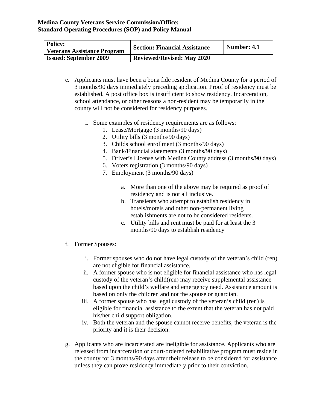| <b>Policy:</b><br><b>Veterans Assistance Program</b> | <b>Section: Financial Assistance</b> | Number: 4.1 |
|------------------------------------------------------|--------------------------------------|-------------|
| <b>Issued: September 2009</b>                        | <b>Reviewed/Revised: May 2020</b>    |             |

- e. Applicants must have been a bona fide resident of Medina County for a period of 3 months/90 days immediately preceding application. Proof of residency must be established. A post office box is insufficient to show residency. Incarceration, school attendance, or other reasons a non-resident may be temporarily in the county will not be considered for residency purposes.
	- i. Some examples of residency requirements are as follows:
		- 1. Lease/Mortgage (3 months/90 days)
		- 2. Utility bills (3 months/90 days)
		- 3. Childs school enrollment (3 months/90 days)
		- 4. Bank/Financial statements (3 months/90 days)
		- 5. Driver's License with Medina County address (3 months/90 days)
		- 6. Voters registration (3 months/90 days)
		- 7. Employment (3 months/90 days)
			- a. More than one of the above may be required as proof of residency and is not all inclusive.
			- b. Transients who attempt to establish residency in hotels/motels and other non-permanent living establishments are not to be considered residents.
			- c. Utility bills and rent must be paid for at least the 3 months/90 days to establish residency
- f. Former Spouses:
	- i. Former spouses who do not have legal custody of the veteran's child (ren) are not eligible for financial assistance.
	- ii. A former spouse who is not eligible for financial assistance who has legal custody of the veteran's child(ren) may receive supplemental assistance based upon the child's welfare and emergency need. Assistance amount is based on only the children and not the spouse or guardian.
	- iii. A former spouse who has legal custody of the veteran's child (ren) is eligible for financial assistance to the extent that the veteran has not paid his/her child support obligation.
	- iv. Both the veteran and the spouse cannot receive benefits, the veteran is the priority and it is their decision.
- g. Applicants who are incarcerated are ineligible for assistance. Applicants who are released from incarceration or court-ordered rehabilitative program must reside in the county for 3 months/90 days after their release to be considered for assistance unless they can prove residency immediately prior to their conviction.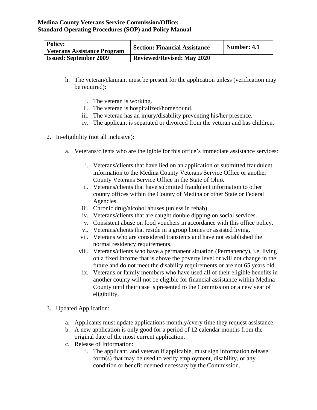| <b>Policy:</b><br><b>Veterans Assistance Program</b> | <b>Section: Financial Assistance</b> | Number: 4.1 |
|------------------------------------------------------|--------------------------------------|-------------|
| <b>Issued: September 2009</b>                        | <b>Reviewed/Revised: May 2020</b>    |             |

- h. The veteran/claimant must be present for the application unless (verification may be required):
	- i. The veteran is working.
	- ii. The veteran is hospitalized/homebound.
	- iii. The veteran has an injury/disability preventing his/her presence.
	- iv. The applicant is separated or divorced from the veteran and has children.
- 2. In-eligibility (not all inclusive):
	- a. Veterans/clients who are ineligible for this office's immediate assistance services:
		- i. Veterans/clients that have lied on an application or submitted fraudulent information to the Medina County Veterans Service Office or another County Veterans Service Office in the State of Ohio.
		- ii. Veterans/clients that have submitted fraudulent information to other county offices within the County of Medina or other State or Federal Agencies.
		- iii. Chronic drug/alcohol abuses (unless in rehab).
		- iv. Veterans/clients that are caught double dipping on social services.
		- v. Consistent abuse on food vouchers in accordance with this office policy.
		- vi. Veterans/clients that reside in a group homes or assisted living.
		- vii. Veterans who are considered transients and have not established the normal residency requirements.
		- viii. Veterans/clients who have a permanent situation (Permanency), i.e. living on a fixed income that is above the poverty level or will not change in the future and do not meet the disability requirements or are not 65 years old.
		- ix. Veterans or family members who have used all of their eligible benefits in another county will not be eligible for financial assistance within Medina County until their case is presented to the Commission or a new year of eligibility.
- 3. Updated Application:
	- a. Applicants must update applications monthly/every time they request assistance.
	- b. A new application is only good for a period of 12 calendar months from the original date of the most current application.
	- c. Release of Information:
		- i. The applicant, and veteran if applicable, must sign information release form(s) that may be used to verify employment, disability, or any condition or benefit deemed necessary by the Commission.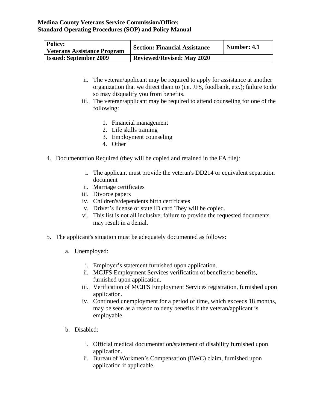| <b>Policy:</b><br><b>Veterans Assistance Program</b> | <b>Section: Financial Assistance</b> | Number: 4.1 |
|------------------------------------------------------|--------------------------------------|-------------|
| <b>Issued: September 2009</b>                        | <b>Reviewed/Revised: May 2020</b>    |             |

- ii. The veteran/applicant may be required to apply for assistance at another organization that we direct them to (i.e. JFS, foodbank, etc.); failure to do so may disqualify you from benefits.
- iii. The veteran/applicant may be required to attend counseling for one of the following:
	- 1. Financial management
	- 2. Life skills training
	- 3. Employment counseling
	- 4. Other
- 4. Documentation Required (they will be copied and retained in the FA file):
	- i. The applicant must provide the veteran's DD214 or equivalent separation document
	- ii. Marriage certificates
	- iii. Divorce papers
	- iv. Children's/dependents birth certificates
	- v. Driver's license or state ID card They will be copied.
	- vi. This list is not all inclusive, failure to provide the requested documents may result in a denial.
- 5. The applicant's situation must be adequately documented as follows:
	- a. Unemployed:
		- i. Employer's statement furnished upon application.
		- ii. MCJFS Employment Services verification of benefits/no benefits, furnished upon application.
		- iii. Verification of MCJFS Employment Services registration, furnished upon application.
		- iv. Continued unemployment for a period of time, which exceeds 18 months, may be seen as a reason to deny benefits if the veteran/applicant is employable.
	- b. Disabled:
		- i. Official medical documentation/statement of disability furnished upon application.
		- ii. Bureau of Workmen's Compensation (BWC) claim, furnished upon application if applicable.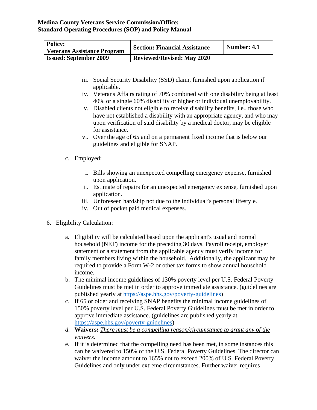| <b>Policy:</b><br><b>Veterans Assistance Program</b> | <b>Section: Financial Assistance</b> | Number: 4.1 |
|------------------------------------------------------|--------------------------------------|-------------|
| <b>Issued: September 2009</b>                        | <b>Reviewed/Revised: May 2020</b>    |             |

- iii. Social Security Disability (SSD) claim, furnished upon application if applicable.
- iv. Veterans Affairs rating of 70% combined with one disability being at least 40% or a single 60% disability or higher or individual unemployability.
- v. Disabled clients not eligible to receive disability benefits, i.e., those who have not established a disability with an appropriate agency, and who may upon verification of said disability by a medical doctor, may be eligible for assistance.
- vi. Over the age of 65 and on a permanent fixed income that is below our guidelines and eligible for SNAP.
- c. Employed:
	- i. Bills showing an unexpected compelling emergency expense, furnished upon application.
	- ii. Estimate of repairs for an unexpected emergency expense, furnished upon application.
	- iii. Unforeseen hardship not due to the individual's personal lifestyle.
	- iv. Out of pocket paid medical expenses.
- 6. Eligibility Calculation:
	- a. Eligibility will be calculated based upon the applicant's usual and normal household (NET) income for the preceding 30 days. Payroll receipt, employer statement or a statement from the applicable agency must verify income for family members living within the household. Additionally, the applicant may be required to provide a Form W-2 or other tax forms to show annual household income.
	- b. The minimal income guidelines of 130% poverty level per U.S. Federal Poverty Guidelines must be met in order to approve immediate assistance. (guidelines are published yearly at [https://aspe.hhs.gov/poverty-guidelines\)](https://aspe.hhs.gov/poverty-guidelines)
	- c. If 65 or older and receiving SNAP benefits the minimal income guidelines of 150% poverty level per U.S. Federal Poverty Guidelines must be met in order to approve immediate assistance. (guidelines are published yearly at [https://aspe.hhs.gov/poverty-guidelines\)](https://aspe.hhs.gov/poverty-guidelines)
	- *d.* **Waivers:** *There must be a compelling reason/circumstance to grant any of the waivers.*
	- e. If it is determined that the compelling need has been met, in some instances this can be waivered to 150% of the U.S. Federal Poverty Guidelines. The director can waiver the income amount to 165% not to exceed 200% of U.S. Federal Poverty Guidelines and only under extreme circumstances. Further waiver requires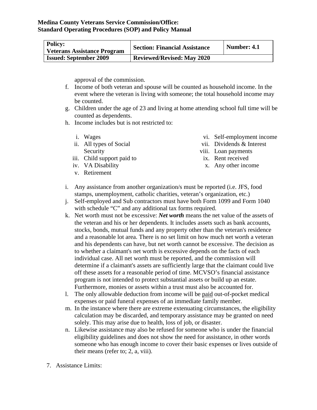| <b>Policy:</b><br><b>Veterans Assistance Program</b> | <b>Section: Financial Assistance</b> | Number: 4.1 |
|------------------------------------------------------|--------------------------------------|-------------|
| <b>Issued: September 2009</b>                        | <b>Reviewed/Revised: May 2020</b>    |             |

approval of the commission.

- f. Income of both veteran and spouse will be counted as household income. In the event where the veteran is living with someone; the total household income may be counted.
- g. Children under the age of 23 and living at home attending school full time will be counted as dependents.
- h. Income includes but is not restricted to:
	- i. Wages
	- ii. All types of Social Security
	- iii. Child support paid to
	- iv. VA Disability
	- v. Retirement
- vi. Self-employment income
- vii. Dividends & Interest
- viii. Loan payments
- ix. Rent received
	- x. Any other income
- i. Any assistance from another organization/s must be reported (i.e. JFS, food stamps, unemployment, catholic charities, veteran's organization, etc.)
	- j. Self-employed and Sub contractors must have both Form 1099 and Form 1040 with schedule "C" and any additional tax forms required.
	- k. Net worth must not be excessive: *Net worth* means the net value of the assets of the veteran and his or her dependents. It includes assets such as bank accounts, stocks, bonds, mutual funds and any property other than the veteran's residence and a reasonable lot area. There is no set limit on how much net worth a veteran and his dependents can have, but net worth cannot be excessive. The decision as to whether a claimant's net worth is excessive depends on the facts of each individual case. All net worth must be reported, and the commission will determine if a claimant's assets are sufficiently large that the claimant could live off these assets for a reasonable period of time. MCVSO's financial assistance program is not intended to protect substantial assets or build up an estate. Furthermore, monies or assets within a trust must also be accounted for.
	- l. The only allowable deduction from income will be paid out-of-pocket medical expenses or paid funeral expenses of an immediate family member.
	- m. In the instance where there are extreme extenuating circumstances, the eligibility calculation may be discarded, and temporary assistance may be granted on need solely. This may arise due to health, loss of job, or disaster.
	- n. Likewise assistance may also be refused for someone who is under the financial eligibility guidelines and does not show the need for assistance, in other words someone who has enough income to cover their basic expenses or lives outside of their means (refer to; 2, a, viii).
- 7. Assistance Limits: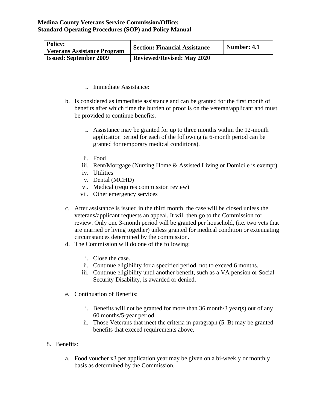| <b>Policy:</b><br><b>Veterans Assistance Program</b> | <b>Section: Financial Assistance</b> | Number: 4.1 |
|------------------------------------------------------|--------------------------------------|-------------|
| <b>Issued: September 2009</b>                        | <b>Reviewed/Revised: May 2020</b>    |             |

- i. Immediate Assistance:
- b. Is considered as immediate assistance and can be granted for the first month of benefits after which time the burden of proof is on the veteran/applicant and must be provided to continue benefits.
	- i. Assistance may be granted for up to three months within the 12-month application period for each of the following (a 6-month period can be granted for temporary medical conditions).
	- ii. Food
	- iii. Rent/Mortgage (Nursing Home & Assisted Living or Domicile is exempt)
	- iv. Utilities
	- v. Dental (MCHD)
	- vi. Medical (requires commission review)
	- vii. Other emergency services
- c. After assistance is issued in the third month, the case will be closed unless the veterans/applicant requests an appeal. It will then go to the Commission for review. Only one 3-month period will be granted per household, (i.e. two vets that are married or living together) unless granted for medical condition or extenuating circumstances determined by the commission.
- d. The Commission will do one of the following:
	- i. Close the case.
	- ii. Continue eligibility for a specified period, not to exceed 6 months.
	- iii. Continue eligibility until another benefit, such as a VA pension or Social Security Disability, is awarded or denied.
- e. Continuation of Benefits:
	- i. Benefits will not be granted for more than 36 month/3 year(s) out of any 60 months/5-year period.
	- ii. Those Veterans that meet the criteria in paragraph (5. B) may be granted benefits that exceed requirements above.
- 8. Benefits:
	- a. Food voucher x3 per application year may be given on a bi-weekly or monthly basis as determined by the Commission.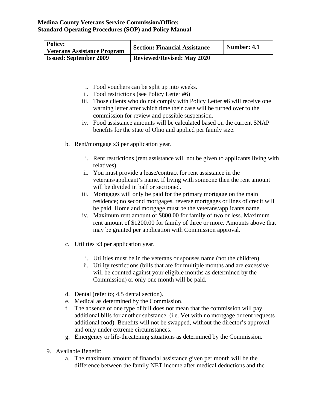| <b>Policy:</b><br><b>Veterans Assistance Program</b> | <b>Section: Financial Assistance</b> | Number: 4.1 |
|------------------------------------------------------|--------------------------------------|-------------|
| <b>Issued: September 2009</b>                        | <b>Reviewed/Revised: May 2020</b>    |             |

- i. Food vouchers can be split up into weeks.
- ii. Food restrictions (see Policy Letter #6)
- iii. Those clients who do not comply with Policy Letter #6 will receive one warning letter after which time their case will be turned over to the commission for review and possible suspension.
- iv. Food assistance amounts will be calculated based on the current SNAP benefits for the state of Ohio and applied per family size.
- b. Rent/mortgage x3 per application year.
	- i. Rent restrictions (rent assistance will not be given to applicants living with relatives).
	- ii. You must provide a lease/contract for rent assistance in the veterans/applicant's name. If living with someone then the rent amount will be divided in half or sectioned.
	- iii. Mortgages will only be paid for the primary mortgage on the main residence; no second mortgages, reverse mortgages or lines of credit will be paid. Home and mortgage must be the veterans/applicants name.
	- iv. Maximum rent amount of \$800.00 for family of two or less. Maximum rent amount of \$1200.00 for family of three or more. Amounts above that may be granted per application with Commission approval.
- c. Utilities x3 per application year.
	- i. Utilities must be in the veterans or spouses name (not the children).
	- ii. Utility restrictions (bills that are for multiple months and are excessive will be counted against your eligible months as determined by the Commission) or only one month will be paid.
- d. Dental (refer to; 4.5 dental section).
- e. Medical as determined by the Commission.
- f. The absence of one type of bill does not mean that the commission will pay additional bills for another substance. (i.e. Vet with no mortgage or rent requests additional food). Benefits will not be swapped, without the director's approval and only under extreme circumstances.
- g. Emergency or life-threatening situations as determined by the Commission.
- 9. Available Benefit:
	- a. The maximum amount of financial assistance given per month will be the difference between the family NET income after medical deductions and the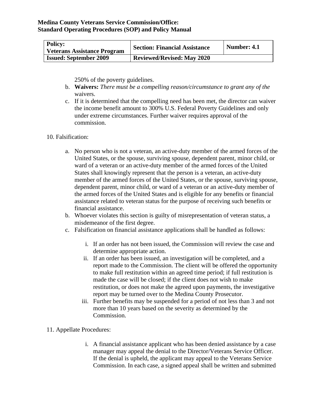| <b>Policy:</b><br>Veterans Assistance Program | <b>Section: Financial Assistance</b> | Number: 4.1 |
|-----------------------------------------------|--------------------------------------|-------------|
| <b>Issued: September 2009</b>                 | <b>Reviewed/Revised: May 2020</b>    |             |

250% of the poverty guidelines.

- b. **Waivers:** *There must be a compelling reason/circumstance to grant any of the*  waivers.
- c. If it is determined that the compelling need has been met, the director can waiver the income benefit amount to 300% U.S. Federal Poverty Guidelines and only under extreme circumstances. Further waiver requires approval of the commission.
- 10. Falsification:
	- a. No person who is not a veteran, an active-duty member of the armed forces of the United States, or the spouse, surviving spouse, dependent parent, minor child, or ward of a veteran or an active-duty member of the armed forces of the United States shall knowingly represent that the person is a veteran, an active-duty member of the armed forces of the United States, or the spouse, surviving spouse, dependent parent, minor child, or ward of a veteran or an active-duty member of the armed forces of the United States and is eligible for any benefits or financial assistance related to veteran status for the purpose of receiving such benefits or financial assistance.
	- b. Whoever violates this section is guilty of misrepresentation of veteran status, a misdemeanor of the first degree.
	- c. Falsification on financial assistance applications shall be handled as follows:
		- i. If an order has not been issued, the Commission will review the case and determine appropriate action.
		- ii. If an order has been issued, an investigation will be completed, and a report made to the Commission. The client will be offered the opportunity to make full restitution within an agreed time period; if full restitution is made the case will be closed; if the client does not wish to make restitution, or does not make the agreed upon payments, the investigative report may be turned over to the Medina County Prosecutor.
		- iii. Further benefits may be suspended for a period of not less than 3 and not more than 10 years based on the severity as determined by the Commission.
- 11. Appellate Procedures:
	- i. A financial assistance applicant who has been denied assistance by a case manager may appeal the denial to the Director/Veterans Service Officer. If the denial is upheld, the applicant may appeal to the Veterans Service Commission. In each case, a signed appeal shall be written and submitted